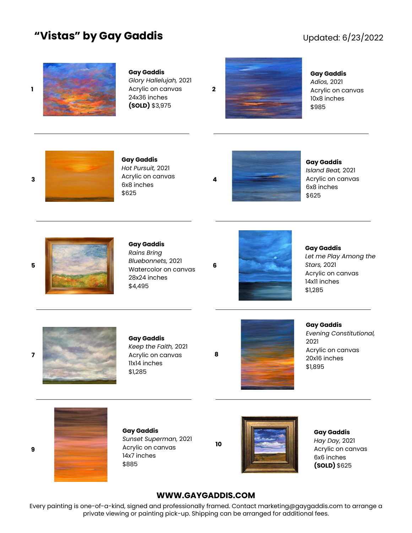## **"Vistas" by Gay Gaddis**

## Updated: 6/23/2022



### **Gay Gaddis**

*Glory Hallelujah,* 2021 24x36 inches **(SOLD)** \$3,975



### **Gay Gaddis** *Adios,* 2021 Acrylic on canvas 10x8 inches \$985



**Gay Gaddis** *Hot Pursuit,* 2021 6x8 inches \$625

**Gay Gaddis** *Island Beat,* 2021 Acrylic on canvas 6x8 inches \$625



### **Gay Gaddis** *Rains Bring*

**5 6** Watercolor on canvas *Bluebonnets,* 2021 28x24 inches \$4,495



**Gay Gaddis** *Let me Play Among the Stars,* 2021 Acrylic on canvas 14x11 inches \$1,285



### **Gay Gaddis**

*Keep the Faith,* 2021 Acrylic on canvas 11x14 inches \$1,285



**Gay Gaddis** *Evening Constitutional,*  2021 Acrylic on canvas 20x16 inches \$1,895



**9**

**Gay Gaddis** *Sunset Superman,* 2021 Acrylic on canvas 14x7 inches \$885

**10**

**8**



**Gay Gaddis** *Hay Day,* 2021 Acrylic on canvas 6x6 inches **(SOLD)** \$625

### **WWW.GAYGADDIS.COM**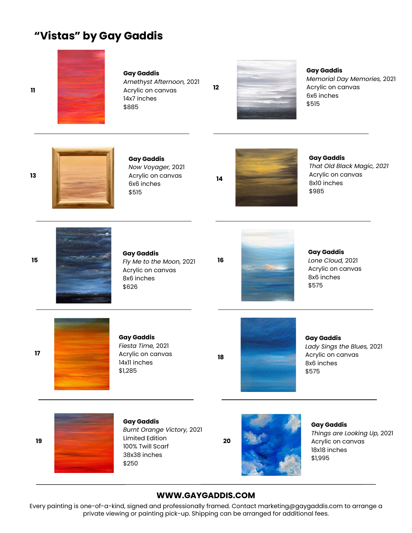# **"Vistas" by Gay Gaddis**



### **Gay Gaddis**

*Amethyst Afternoon,* 2021 Acrylic on canvas 14x7 inches \$885



**12**

### **Gay Gaddis** *Memorial Day Memories,* 2021 Acrylic on canvas 6x6 inches \$515



**13**

**15**

**11**

# **Gay Gaddis**

*Now Voyager,* 2021 Acrylic on canvas 6x6 inches \$515



# **Gay Gaddis**

*That Old Black Magic, 2021* Acrylic on canvas 8x10 inches \$985



### **Gay Gaddis** *Fly Me to the Moon,* 2021 Acrylic on canvas 8x6 inches \$626



**Gay Gaddis** *Lone Cloud,* 2021 Acrylic on canvas 8x6 inches \$575



### **Gay Gaddis**

*Fiesta Time,* 2021 Acrylic on canvas 14x11 inches \$1,285

**18**

**16**



**Gay Gaddis** *Lady Sings the Blues,* 2021 Acrylic on canvas 8x6 inches \$575



### **Gay Gaddis** *Burnt Orange Victory,* 2021 Limited Edition 100% Twill Scarf 38x38 inches \$250



**Gay Gaddis** *Things are Looking Up,* 2021 Acrylic on canvas 18x18 inches \$1,995

### **WWW.GAYGADDIS.COM**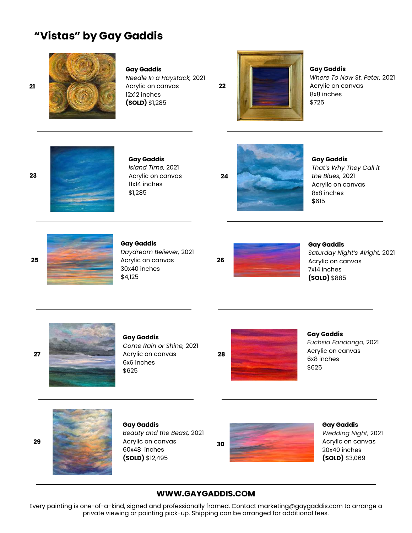# **"Vistas" by Gay Gaddis**



### **Gay Gaddis**

*Needle In a Haystack,* 2021 Acrylic on canvas 12x12 inches **(SOLD)** \$1,285

**22**

**Gay Gaddis** *Where To Now St. Peter,* 2021 Acrylic on canvas 8x8 inches \$725



### **Gay Gaddis**

*Island Time,* 2021 Acrylic on canvas 11x14 inches \$1,285



**Gay Gaddis** *That's Why They Call it the Blues,* 2021 Acrylic on canvas 8x8 inches \$615



#### **Gay Gaddis** *Daydream Believer,* 2021 Acrylic on canvas 30x40 inches



**Gay Gaddis** *Saturday Night's Alright,* 2021 Acrylic on canvas 7x14 inches **(SOLD)** \$885



### **Gay Gaddis**

*Come Rain or Shine,* 2021 6x6 inches \$625

**Gay Gaddis** *Fuchsia Fandango,* 2021 Acrylic on canvas 6x8 inches

\$625



**Gay Gaddis** *Beauty and the Beast,* 2021 Acrylic on canvas 60x48 inches **(SOLD)** \$12,495



**Gay Gaddis** *Wedding Night,* 2021 Acrylic on canvas 20x40 inches **(SOLD)** \$3,069

### **WWW.GAYGADDIS.COM**

Every painting is one-of-a-kind, signed and professionally framed. Contact marketing@gaygaddis.com to arrange a private viewing or painting pick-up. Shipping can be arranged for additional fees.

**21**

**23**

**25**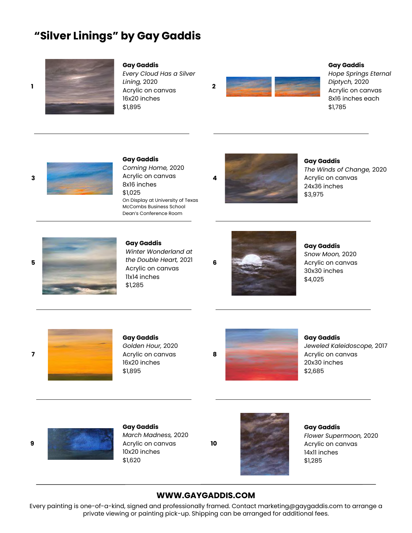# **"Silver Linings" by Gay Gaddis**



#### **Gay Gaddis**

*Every Cloud Has a Silver Lining,* 2020 16x20 inches \$1,895



### **Gay Gaddis**

*Hope Springs Eternal Diptych,* 2020 Acrylic on canvas 8x16 inches each \$1,785



#### **Gay Gaddis**

*Coming Home,* 2020 8x16 inches \$1,025 On Display at University of Texas McCombs Business School Dean's Conference Room



**Gay Gaddis**

*The Winds of Change,* 2020 Acrylic on canvas 24x36 inches \$3,975



### **Gay Gaddis** *Winter Wonderland at the Double Heart,* 2021 Acrylic on canvas 11x14 inches \$1,285



**Gay Gaddis** *Snow Moon,* 2020 Acrylic on canvas 30x30 inches \$4,025



#### **Gay Gaddis**

*Golden Hour,* 2020 16x20 inches \$1,895



**Gay Gaddis** *Jeweled Kaleidoscope,* 2017 Acrylic on canvas 20x30 inches

\$2,685

### **Gay Gaddis** *March Madness,* 2020 Acrylic on canvas 10x20 inches \$1,620

**10**



**Gay Gaddis** *Flower Supermoon,* 2020 Acrylic on canvas 14x11 inches \$1,285

### **WWW.GAYGADDIS.COM**

Every painting is one-of-a-kind, signed and professionally framed. Contact marketing@gaygaddis.com to arrange a private viewing or painting pick-up. Shipping can be arranged for additional fees.

**9**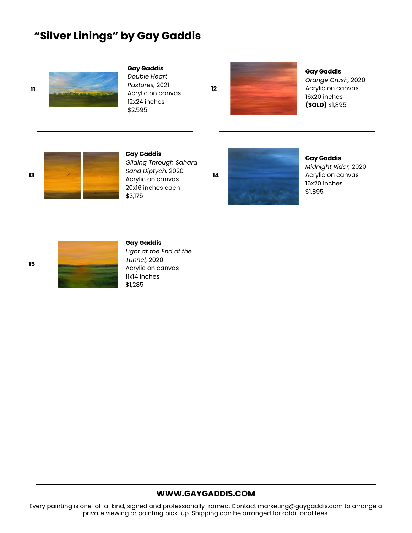# **"Silver Linings" by Gay Gaddis**



### **Gay Gaddis**

*Double Heart Pastures,* 2021 Acrylic on canvas 12x24 inches \$2,595



**Gay Gaddis** *Orange Crush,* 2020 Acrylic on canvas



**Gay Gaddis** *Gliding Through Sahara Sand Diptych,* 2020 20x16 inches each \$3,175



**Gay Gaddis** *Midnight Rider,* 2020 Acrylic on canvas 16x20 inches \$1,895





#### **Gay Gaddis**

*Light at the End of the Tunnel,* 2020 Acrylic on canvas 11x14 inches \$1,285

### **WWW.GAYGADDIS.COM**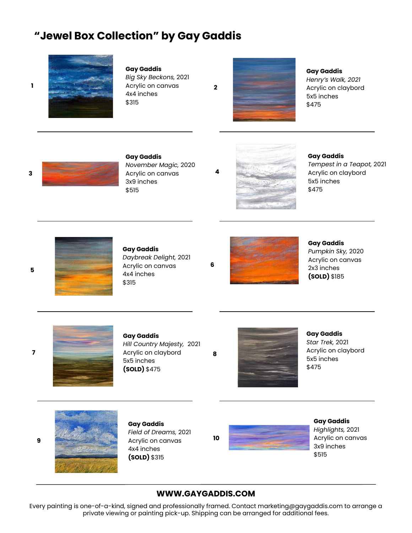# **"Jewel Box Collection" by Gay Gaddis**



**1**

**5**

### **Gay Gaddis**

*Big Sky Beckons,* 2021 Acrylic on canvas 4x4 inches \$315

**2**

### **Gay Gaddis**

*Henry's Walk, 2021* Acrylic on claybord 5x5 inches \$475



**Gay Gaddis** *November Magic,* 2020 Acrylic on canvas 3x9 inches \$515



**Gay Gaddis** *Tempest in a Teapot,* 2021 Acrylic on claybord 5x5 inches

\$475



#### **Gay Gaddis** *Daybreak Delight,* 2021

**6**

**4**



**Gay Gaddis** *Pumpkin Sky,* 2020 Acrylic on canvas 2x3 inches **(SOLD)** \$185



### **Gay Gaddis**

*Hill Country Majesty,* 2021 5x5 inches **(SOLD)** \$475



**Gay Gaddis** *Star Trek,* 2021 Acrylic on claybord 5x5 inches \$475



**Gay Gaddis** *Field of Dreams,* 2021 Acrylic on canvas 4x4 inches **(SOLD)** \$315



**Gay Gaddis** *Highlights,* 2021 Acrylic on canvas 3x9 inches \$515

### **WWW.GAYGADDIS.COM**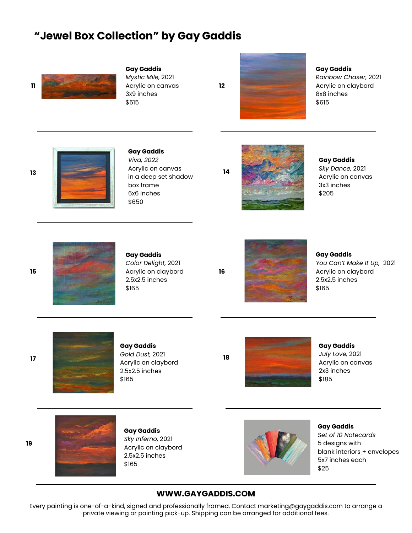# **"Jewel Box Collection" by Gay Gaddis**



#### **Gay Gaddis**

*Mystic Mile,* 2021 Acrylic on canvas 3x9 inches \$515

**12**

**14**

**16**



### **Gay Gaddis** *Rainbow Chaser,* 2021 Acrylic on claybord

8x8 inches \$615

**Gay Gaddis** *Viva, 2022* Acrylic on canvas in a deep set shadow box frame 6x6 inches \$650



**Gay Gaddis** *Sky Dance,* 2021 Acrylic on canvas 3x3 inches \$205



# **Gay Gaddis**

*Color Delight,* 2021 Acrylic on claybord 2.5x2.5 inches \$165



**Gay Gaddis** *You Can't Make It Up,* 2021 Acrylic on claybord 2.5x2.5 inches \$165



## **Gay Gaddis** *Gold Dust,* 2021

Acrylic on claybord 2.5x2.5 inches \$165

**18**

\$185

**Gay Gaddis** *July Love,* 2021 Acrylic on canvas 2x3 inches



**Gay Gaddis** *Sky Inferno,* 2021 Acrylic on claybord 2.5x2.5 inches \$165



**Gay Gaddis** *Set of 10 Notecards* 5 designs with blank interiors + envelopes 5x7 inches each \$25

### **WWW.GAYGADDIS.COM**

Every painting is one-of-a-kind, signed and professionally framed. Contact marketing@gaygaddis.com to arrange a private viewing or painting pick-up. Shipping can be arranged for additional fees.

**15**

**17**

**19**

**13**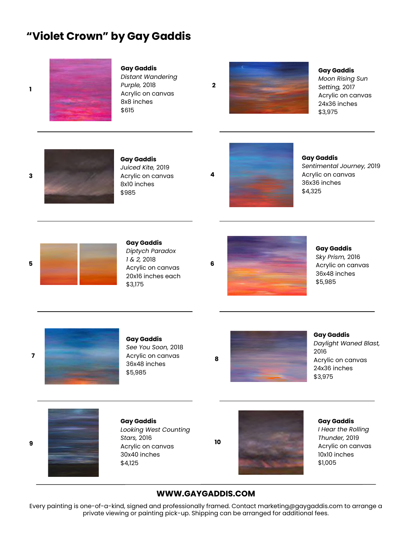# **"Violet Crown" by Gay Gaddis**



### **Gay Gaddis**

*Distant Wandering Purple,* 2018 Acrylic on canvas 8x8 inches \$615

**Gay Gaddis** *Moon Rising Sun Setting,* 2017 Acrylic on canvas 24x36 inches \$3,975



**Gay Gaddis** *Juiced Kite,* 2019 Acrylic on canvas 8x10 inches \$985



**Gay Gaddis** *Sentimental Journey, 2*019 Acrylic on canvas 36x36 inches \$4,325



**9**

**3**

**1**



### **Gay Gaddis** *Diptych Paradox 1 & 2,* 2018 20x16 inches each \$3,175

**2**

**4**



**Gay Gaddis** *Sky Prism,* 2016 Acrylic on canvas 36x48 inches \$5,985



### **Gay Gaddis** *See You Soon,* 2018 Acrylic on canvas 36x48 inches

\$5,985



**Gay Gaddis** *Daylight Waned Blast,*  2016 Acrylic on canvas 24x36 inches \$3,975



**Gay Gaddis** *Looking West Counting Stars,* 2016 Acrylic on canvas 30x40 inches \$4,125



**Gay Gaddis** *I Hear the Rolling Thunder,* 2019 Acrylic on canvas 10x10 inches \$1,005

### **WWW.GAYGADDIS.COM**

**10**